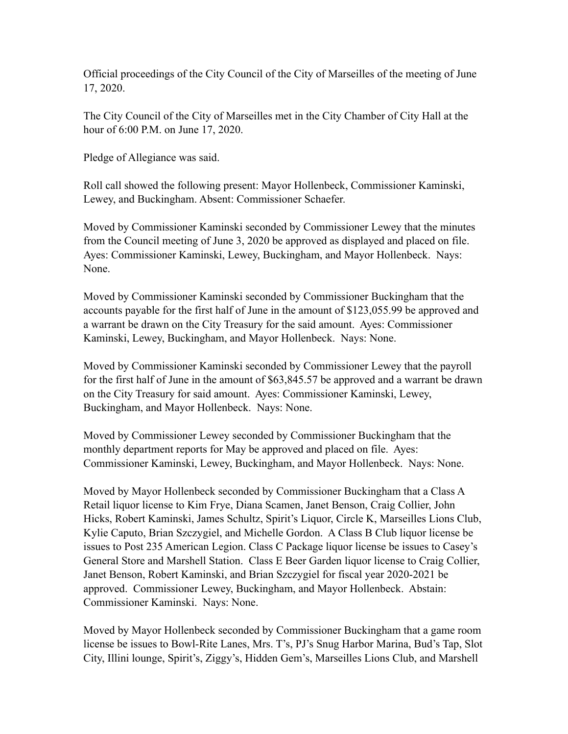Official proceedings of the City Council of the City of Marseilles of the meeting of June 17, 2020.

The City Council of the City of Marseilles met in the City Chamber of City Hall at the hour of 6:00 P.M. on June 17, 2020.

Pledge of Allegiance was said.

Roll call showed the following present: Mayor Hollenbeck, Commissioner Kaminski, Lewey, and Buckingham. Absent: Commissioner Schaefer.

Moved by Commissioner Kaminski seconded by Commissioner Lewey that the minutes from the Council meeting of June 3, 2020 be approved as displayed and placed on file. Ayes: Commissioner Kaminski, Lewey, Buckingham, and Mayor Hollenbeck. Nays: None.

Moved by Commissioner Kaminski seconded by Commissioner Buckingham that the accounts payable for the first half of June in the amount of \$123,055.99 be approved and a warrant be drawn on the City Treasury for the said amount. Ayes: Commissioner Kaminski, Lewey, Buckingham, and Mayor Hollenbeck. Nays: None.

Moved by Commissioner Kaminski seconded by Commissioner Lewey that the payroll for the first half of June in the amount of \$63,845.57 be approved and a warrant be drawn on the City Treasury for said amount. Ayes: Commissioner Kaminski, Lewey, Buckingham, and Mayor Hollenbeck. Nays: None.

Moved by Commissioner Lewey seconded by Commissioner Buckingham that the monthly department reports for May be approved and placed on file. Ayes: Commissioner Kaminski, Lewey, Buckingham, and Mayor Hollenbeck. Nays: None.

Moved by Mayor Hollenbeck seconded by Commissioner Buckingham that a Class A Retail liquor license to Kim Frye, Diana Scamen, Janet Benson, Craig Collier, John Hicks, Robert Kaminski, James Schultz, Spirit's Liquor, Circle K, Marseilles Lions Club, Kylie Caputo, Brian Szczygiel, and Michelle Gordon. A Class B Club liquor license be issues to Post 235 American Legion. Class C Package liquor license be issues to Casey's General Store and Marshell Station. Class E Beer Garden liquor license to Craig Collier, Janet Benson, Robert Kaminski, and Brian Szczygiel for fiscal year 2020-2021 be approved. Commissioner Lewey, Buckingham, and Mayor Hollenbeck. Abstain: Commissioner Kaminski. Nays: None.

Moved by Mayor Hollenbeck seconded by Commissioner Buckingham that a game room license be issues to Bowl-Rite Lanes, Mrs. T's, PJ's Snug Harbor Marina, Bud's Tap, Slot City, Illini lounge, Spirit's, Ziggy's, Hidden Gem's, Marseilles Lions Club, and Marshell